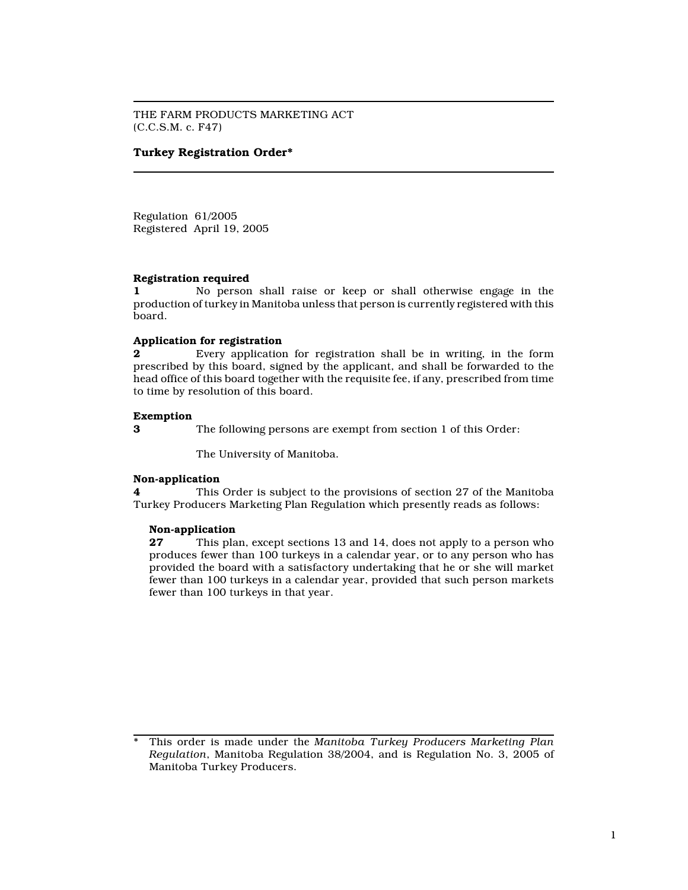THE FARM PRODUCTS MARKETING ACT (C.C.S.M. c. F47)

## Turkey Registration Order\*

Regulation 61/2005 Registered April 19, 2005

#### Registration required

1 No person shall raise or keep or shall otherwise engage in the production of turkey in Manitoba unless that person is currently registered with this board.

## Application for registration

2 Every application for registration shall be in writing, in the form prescribed by this board, signed by the applicant, and shall be forwarded to the head office of this board together with the requisite fee, if any, prescribed from time to time by resolution of this board.

## Exemption

3 The following persons are exempt from section 1 of this Order:

The University of Manitoba.

#### Non-application

4 This Order is subject to the provisions of section 27 of the Manitoba Turkey Producers Marketing Plan Regulation which presently reads as follows:

#### Non-application

27 This plan, except sections 13 and 14, does not apply to a person who produces fewer than 100 turkeys in a calendar year, or to any person who has provided the board with a satisfactory undertaking that he or she will market fewer than 100 turkeys in a calendar year, provided that such person markets fewer than 100 turkeys in that year.

This order is made under the Manitoba Turkey Producers Marketing Plan Regulation, Manitoba Regulation 38/2004, and is Regulation No. 3, 2005 of Manitoba Turkey Producers.